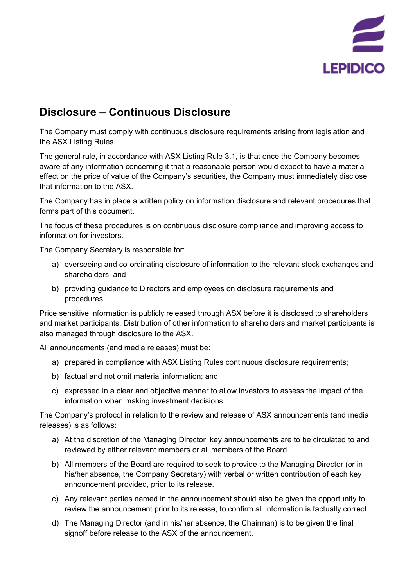

## **Disclosure – Continuous Disclosure**

The Company must comply with continuous disclosure requirements arising from legislation and the ASX Listing Rules.

The general rule, in accordance with ASX Listing Rule 3.1, is that once the Company becomes aware of any information concerning it that a reasonable person would expect to have a material effect on the price of value of the Company's securities, the Company must immediately disclose that information to the ASX.

The Company has in place a written policy on information disclosure and relevant procedures that forms part of this document.

The focus of these procedures is on continuous disclosure compliance and improving access to information for investors.

The Company Secretary is responsible for:

- a) overseeing and co-ordinating disclosure of information to the relevant stock exchanges and shareholders; and
- b) providing guidance to Directors and employees on disclosure requirements and procedures.

Price sensitive information is publicly released through ASX before it is disclosed to shareholders and market participants. Distribution of other information to shareholders and market participants is also managed through disclosure to the ASX.

All announcements (and media releases) must be:

- a) prepared in compliance with ASX Listing Rules continuous disclosure requirements;
- b) factual and not omit material information; and
- c) expressed in a clear and objective manner to allow investors to assess the impact of the information when making investment decisions.

The Company's protocol in relation to the review and release of ASX announcements (and media releases) is as follows:

- a) At the discretion of the Managing Director key announcements are to be circulated to and reviewed by either relevant members or all members of the Board.
- b) All members of the Board are required to seek to provide to the Managing Director (or in his/her absence, the Company Secretary) with verbal or written contribution of each key announcement provided, prior to its release.
- c) Any relevant parties named in the announcement should also be given the opportunity to review the announcement prior to its release, to confirm all information is factually correct.
- d) The Managing Director (and in his/her absence, the Chairman) is to be given the final signoff before release to the ASX of the announcement.